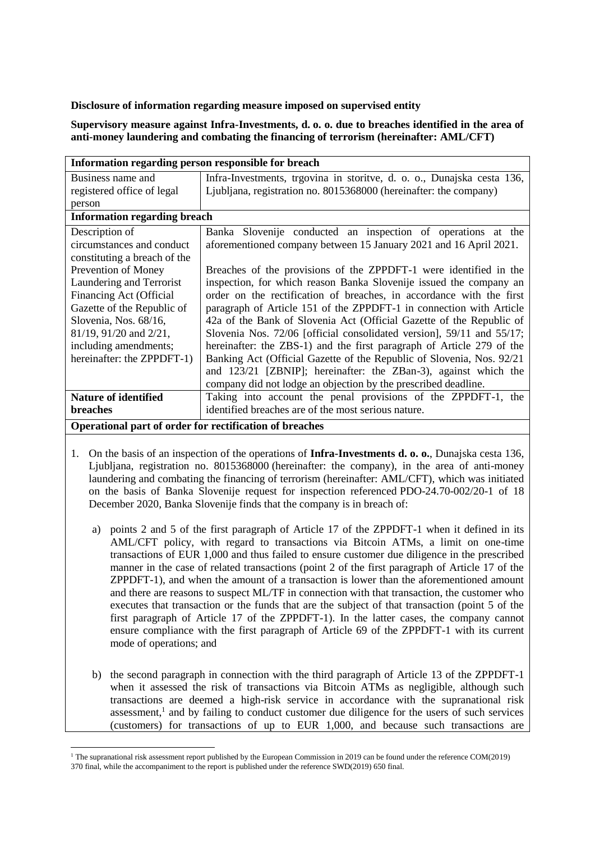## **Disclosure of information regarding measure imposed on supervised entity**

**Supervisory measure against Infra-Investments, d. o. o. due to breaches identified in the area of anti-money laundering and combating the financing of terrorism (hereinafter: AML/CFT)**

| Information regarding person responsible for breach     |                                                                        |
|---------------------------------------------------------|------------------------------------------------------------------------|
| Business name and                                       | Infra-Investments, trgovina in storitve, d. o. o., Dunajska cesta 136, |
| registered office of legal                              | Ljubljana, registration no. 8015368000 (hereinafter: the company)      |
| person                                                  |                                                                        |
| <b>Information regarding breach</b>                     |                                                                        |
| Description of                                          | Banka Slovenije conducted an inspection of operations at the           |
| circumstances and conduct                               | aforementioned company between 15 January 2021 and 16 April 2021.      |
| constituting a breach of the                            |                                                                        |
| Prevention of Money                                     | Breaches of the provisions of the ZPPDFT-1 were identified in the      |
| Laundering and Terrorist                                | inspection, for which reason Banka Slovenije issued the company an     |
| Financing Act (Official                                 | order on the rectification of breaches, in accordance with the first   |
| Gazette of the Republic of                              | paragraph of Article 151 of the ZPPDFT-1 in connection with Article    |
| Slovenia, Nos. 68/16,                                   | 42a of the Bank of Slovenia Act (Official Gazette of the Republic of   |
| 81/19, 91/20 and 2/21,                                  | Slovenia Nos. 72/06 [official consolidated version], 59/11 and 55/17;  |
| including amendments;                                   | hereinafter: the ZBS-1) and the first paragraph of Article 279 of the  |
| hereinafter: the ZPPDFT-1)                              | Banking Act (Official Gazette of the Republic of Slovenia, Nos. 92/21) |
|                                                         | and 123/21 [ZBNIP]; hereinafter: the ZBan-3), against which the        |
|                                                         | company did not lodge an objection by the prescribed deadline.         |
| <b>Nature of identified</b>                             | Taking into account the penal provisions of the ZPPDFT-1, the          |
| <b>breaches</b>                                         | identified breaches are of the most serious nature.                    |
| Operational part of order for rectification of breaches |                                                                        |

- 1. On the basis of an inspection of the operations of **Infra-Investments d. o. o.**, Dunajska cesta 136, Ljubljana, registration no. 8015368000 (hereinafter: the company), in the area of anti-money laundering and combating the financing of terrorism (hereinafter: AML/CFT), which was initiated on the basis of Banka Slovenije request for inspection referenced PDO-24.70-002/20-1 of 18 December 2020, Banka Slovenije finds that the company is in breach of:
	- a) points 2 and 5 of the first paragraph of Article 17 of the ZPPDFT-1 when it defined in its AML/CFT policy, with regard to transactions via Bitcoin ATMs, a limit on one-time transactions of EUR 1,000 and thus failed to ensure customer due diligence in the prescribed manner in the case of related transactions (point 2 of the first paragraph of Article 17 of the ZPPDFT-1), and when the amount of a transaction is lower than the aforementioned amount and there are reasons to suspect ML/TF in connection with that transaction, the customer who executes that transaction or the funds that are the subject of that transaction (point 5 of the first paragraph of Article 17 of the ZPPDFT-1). In the latter cases, the company cannot ensure compliance with the first paragraph of Article 69 of the ZPPDFT-1 with its current mode of operations; and
	- b) the second paragraph in connection with the third paragraph of Article 13 of the ZPPDFT-1 when it assessed the risk of transactions via Bitcoin ATMs as negligible, although such transactions are deemed a high-risk service in accordance with the supranational risk assessment,<sup>1</sup> and by failing to conduct customer due diligence for the users of such services (customers) for transactions of up to EUR 1,000, and because such transactions are

l

<sup>&</sup>lt;sup>1</sup> The supranational risk assessment report published by the European Commission in 2019 can be found under the reference COM(2019) 370 final, while the accompaniment to the report is published under the reference SWD(2019) 650 final.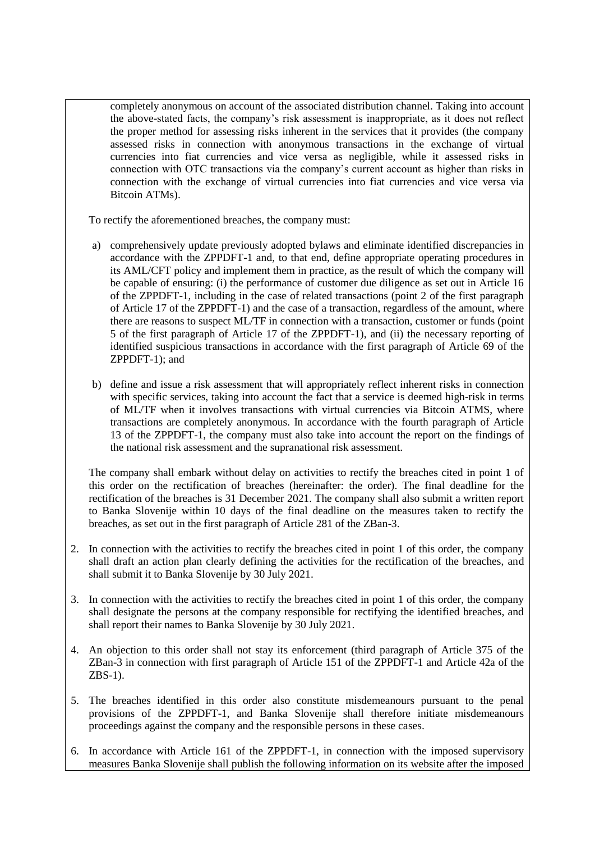completely anonymous on account of the associated distribution channel. Taking into account the above-stated facts, the company's risk assessment is inappropriate, as it does not reflect the proper method for assessing risks inherent in the services that it provides (the company assessed risks in connection with anonymous transactions in the exchange of virtual currencies into fiat currencies and vice versa as negligible, while it assessed risks in connection with OTC transactions via the company's current account as higher than risks in connection with the exchange of virtual currencies into fiat currencies and vice versa via Bitcoin ATMs).

To rectify the aforementioned breaches, the company must:

- a) comprehensively update previously adopted bylaws and eliminate identified discrepancies in accordance with the ZPPDFT-1 and, to that end, define appropriate operating procedures in its AML/CFT policy and implement them in practice, as the result of which the company will be capable of ensuring: (i) the performance of customer due diligence as set out in Article 16 of the ZPPDFT-1, including in the case of related transactions (point 2 of the first paragraph of Article 17 of the ZPPDFT-1) and the case of a transaction, regardless of the amount, where there are reasons to suspect ML/TF in connection with a transaction, customer or funds (point 5 of the first paragraph of Article 17 of the ZPPDFT-1), and (ii) the necessary reporting of identified suspicious transactions in accordance with the first paragraph of Article 69 of the ZPPDFT-1); and
- b) define and issue a risk assessment that will appropriately reflect inherent risks in connection with specific services, taking into account the fact that a service is deemed high-risk in terms of ML/TF when it involves transactions with virtual currencies via Bitcoin ATMS, where transactions are completely anonymous. In accordance with the fourth paragraph of Article 13 of the ZPPDFT-1, the company must also take into account the report on the findings of the national risk assessment and the supranational risk assessment.

The company shall embark without delay on activities to rectify the breaches cited in point 1 of this order on the rectification of breaches (hereinafter: the order). The final deadline for the rectification of the breaches is 31 December 2021. The company shall also submit a written report to Banka Slovenije within 10 days of the final deadline on the measures taken to rectify the breaches, as set out in the first paragraph of Article 281 of the ZBan-3.

- 2. In connection with the activities to rectify the breaches cited in point 1 of this order, the company shall draft an action plan clearly defining the activities for the rectification of the breaches, and shall submit it to Banka Slovenije by 30 July 2021.
- 3. In connection with the activities to rectify the breaches cited in point 1 of this order, the company shall designate the persons at the company responsible for rectifying the identified breaches, and shall report their names to Banka Slovenije by 30 July 2021.
- 4. An objection to this order shall not stay its enforcement (third paragraph of Article 375 of the ZBan-3 in connection with first paragraph of Article 151 of the ZPPDFT-1 and Article 42a of the ZBS-1).
- 5. The breaches identified in this order also constitute misdemeanours pursuant to the penal provisions of the ZPPDFT-1, and Banka Slovenije shall therefore initiate misdemeanours proceedings against the company and the responsible persons in these cases.
- 6. In accordance with Article 161 of the ZPPDFT-1, in connection with the imposed supervisory measures Banka Slovenije shall publish the following information on its website after the imposed